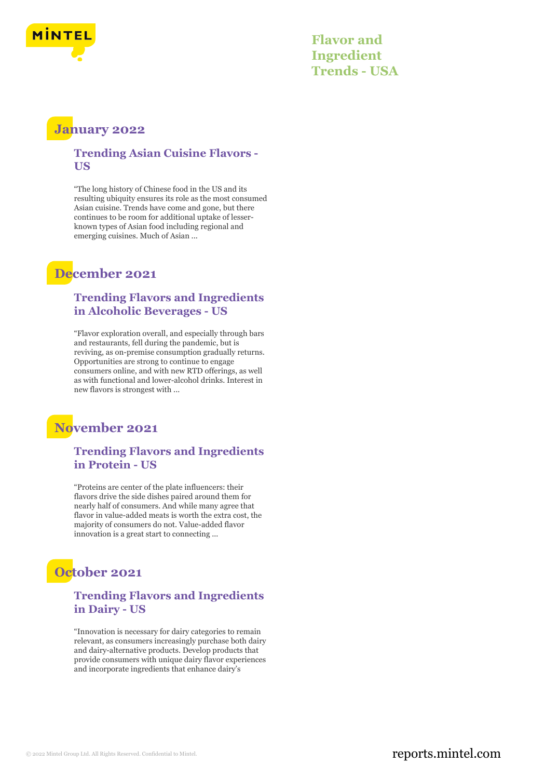

**Flavor and Ingredient Trends - USA**

### **January 2022**

#### **Trending Asian Cuisine Flavors - US**

"The long history of Chinese food in the US and its resulting ubiquity ensures its role as the most consumed Asian cuisine. Trends have come and gone, but there continues to be room for additional uptake of lesserknown types of Asian food including regional and emerging cuisines. Much of Asian ...

### **December 2021**

#### **Trending Flavors and Ingredients in Alcoholic Beverages - US**

"Flavor exploration overall, and especially through bars and restaurants, fell during the pandemic, but is reviving, as on-premise consumption gradually returns. Opportunities are strong to continue to engage consumers online, and with new RTD offerings, as well as with functional and lower-alcohol drinks. Interest in new flavors is strongest with ...

### **November 2021**

### **Trending Flavors and Ingredients in Protein - US**

"Proteins are center of the plate influencers: their flavors drive the side dishes paired around them for nearly half of consumers. And while many agree that flavor in value-added meats is worth the extra cost, the majority of consumers do not. Value-added flavor innovation is a great start to connecting ...

# **October 2021**

### **Trending Flavors and Ingredients in Dairy - US**

"Innovation is necessary for dairy categories to remain relevant, as consumers increasingly purchase both dairy and dairy-alternative products. Develop products that provide consumers with unique dairy flavor experiences and incorporate ingredients that enhance dairy's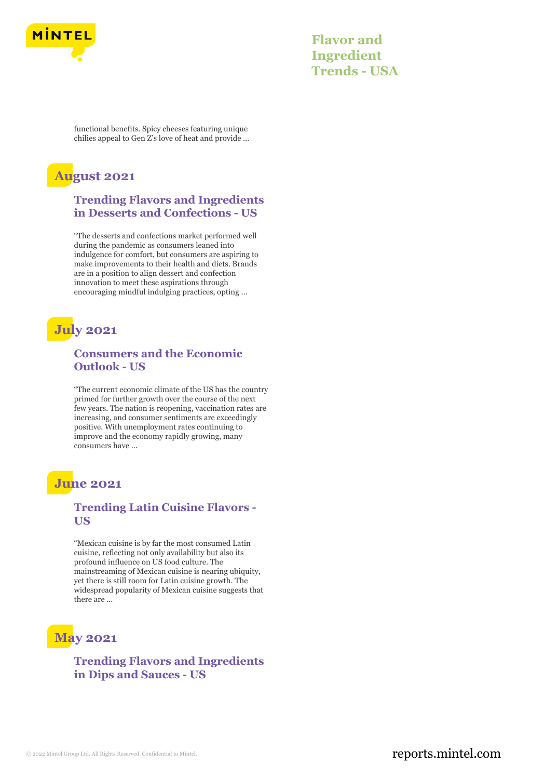

**Flavor and Ingredient Trends - USA**

functional benefits. Spicy cheeses featuring unique chilies appeal to Gen Z's love of heat and provide ...

### **August 2021**

#### **Trending Flavors and Ingredients in Desserts and Confections - US**

"The desserts and confections market performed well during the pandemic as consumers leaned into indulgence for comfort, but consumers are aspiring to make improvements to their health and diets. Brands are in a position to align dessert and confection innovation to meet these aspirations through encouraging mindful indulging practices, opting ...

## **July 2021**

### **Consumers and the Economic Outlook - US**

"The current economic climate of the US has the country primed for further growth over the course of the next few years. The nation is reopening, vaccination rates are increasing, and consumer sentiments are exceedingly positive. With unemployment rates continuing to improve and the economy rapidly growing, many consumers have ...

### **June 2021**

### **Trending Latin Cuisine Flavors - US**

"Mexican cuisine is by far the most consumed Latin cuisine, reflecting not only availability but also its profound influence on US food culture. The mainstreaming of Mexican cuisine is nearing ubiquity, yet there is still room for Latin cuisine growth. The widespread popularity of Mexican cuisine suggests that there are ...

# **May 2021**

**Trending Flavors and Ingredients in Dips and Sauces - US**